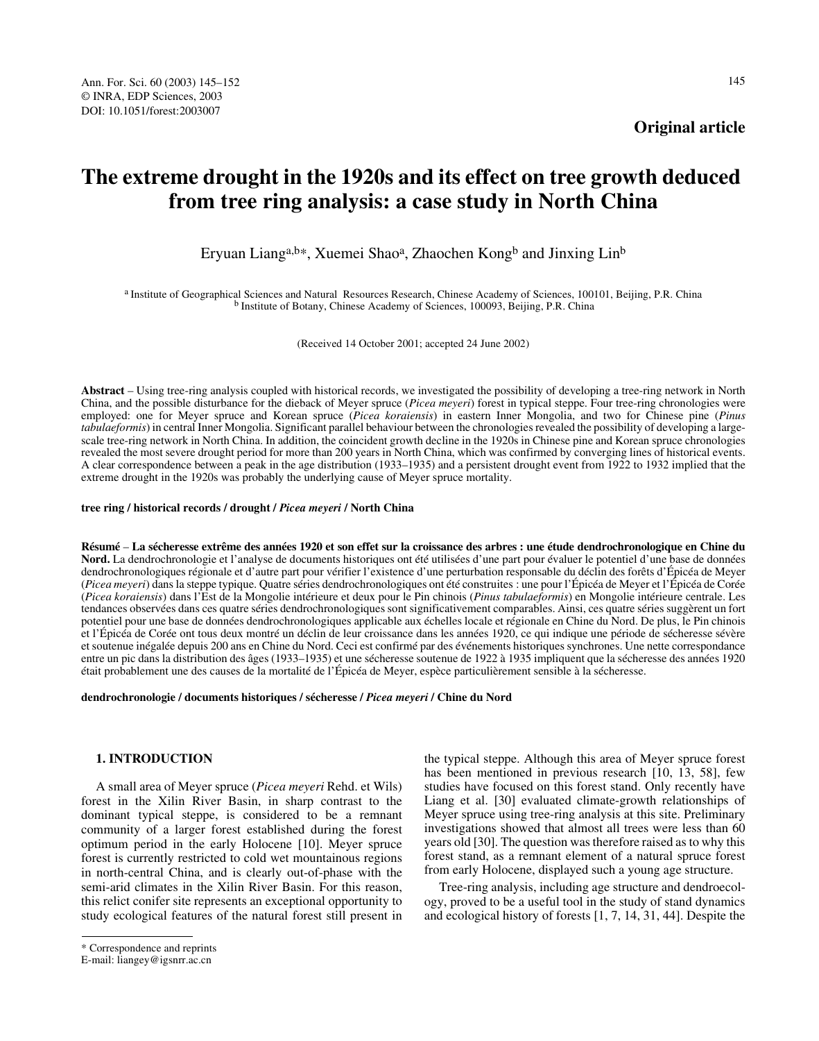**Original article**

# **The extreme drought in the 1920s and its effect on tree growth deduced from tree ring analysis: a case study in North China**

Eryuan Lianga,b\*, Xuemei Shao<sup>a</sup>, Zhaochen Kongb and Jinxing Lin<sup>b</sup>

a Institute of Geographical Sciences and Natural Resources Research, Chinese Academy of Sciences, 100101, Beijing, P.R. China b Institute of Botany, Chinese Academy of Sciences, 100093, Beijing, P.R. China

(Received 14 October 2001; accepted 24 June 2002)

**Abstract** – Using tree-ring analysis coupled with historical records, we investigated the possibility of developing a tree-ring network in North China, and the possible disturbance for the dieback of Meyer spruce (*Picea meyeri*) forest in typical steppe. Four tree-ring chronologies were employed: one for Meyer spruce and Korean spruce (*Picea koraiensis*) in eastern Inner Mongolia, and two for Chinese pine (*Pinus tabulaeformis*) in central Inner Mongolia. Significant parallel behaviour between the chronologies revealed the possibility of developing a largescale tree-ring network in North China. In addition, the coincident growth decline in the 1920s in Chinese pine and Korean spruce chronologies revealed the most severe drought period for more than 200 years in North China, which was confirmed by converging lines of historical events. A clear correspondence between a peak in the age distribution (1933–1935) and a persistent drought event from 1922 to 1932 implied that the extreme drought in the 1920s was probably the underlying cause of Meyer spruce mortality.

**tree ring / historical records / drought /** *Picea meyeri* **/ North China** 

**Résumé** – **La sécheresse extrême des années 1920 et son effet sur la croissance des arbres : une étude dendrochronologique en Chine du Nord.** La dendrochronologie et l'analyse de documents historiques ont été utilisées d'une part pour évaluer le potentiel d'une base de données dendrochronologiques régionale et d'autre part pour vérifier l'existence d'une perturbation responsable du déclin des forêts d'Épicéa de Meyer (*Picea meyeri*) dans la steppe typique. Quatre séries dendrochronologiques ont été construites : une pour l'Épicéa de Meyer et l'Épicéa de Corée (*Picea koraiensis*) dans l'Est de la Mongolie intérieure et deux pour le Pin chinois (*Pinus tabulaeformis*) en Mongolie intérieure centrale. Les tendances observées dans ces quatre séries dendrochronologiques sont significativement comparables. Ainsi, ces quatre séries suggèrent un fort potentiel pour une base de données dendrochronologiques applicable aux échelles locale et régionale en Chine du Nord. De plus, le Pin chinois et l'Épicéa de Corée ont tous deux montré un déclin de leur croissance dans les années 1920, ce qui indique une période de sécheresse sévère et soutenue inégalée depuis 200 ans en Chine du Nord. Ceci est confirmé par des événements historiques synchrones. Une nette correspondance entre un pic dans la distribution des âges (1933–1935) et une sécheresse soutenue de 1922 à 1935 impliquent que la sécheresse des années 1920 était probablement une des causes de la mortalité de l'Épicéa de Meyer, espèce particulièrement sensible à la sécheresse.

**dendrochronologie / documents historiques / sécheresse /** *Picea meyeri* **/ Chine du Nord**

## **1. INTRODUCTION**

A small area of Meyer spruce (*Picea meyeri* Rehd. et Wils) forest in the Xilin River Basin, in sharp contrast to the dominant typical steppe, is considered to be a remnant community of a larger forest established during the forest optimum period in the early Holocene [10]. Meyer spruce forest is currently restricted to cold wet mountainous regions in north-central China, and is clearly out-of-phase with the semi-arid climates in the Xilin River Basin. For this reason, this relict conifer site represents an exceptional opportunity to study ecological features of the natural forest still present in

\* Correspondence and reprints

the typical steppe. Although this area of Meyer spruce forest has been mentioned in previous research [10, 13, 58], few studies have focused on this forest stand. Only recently have Liang et al. [30] evaluated climate-growth relationships of Meyer spruce using tree-ring analysis at this site. Preliminary investigations showed that almost all trees were less than 60 years old [30]. The question was therefore raised as to why this forest stand, as a remnant element of a natural spruce forest from early Holocene, displayed such a young age structure.

Tree-ring analysis, including age structure and dendroecology, proved to be a useful tool in the study of stand dynamics and ecological history of forests [1, 7, 14, 31, 44]. Despite the

E-mail: liangey@igsnrr.ac.cn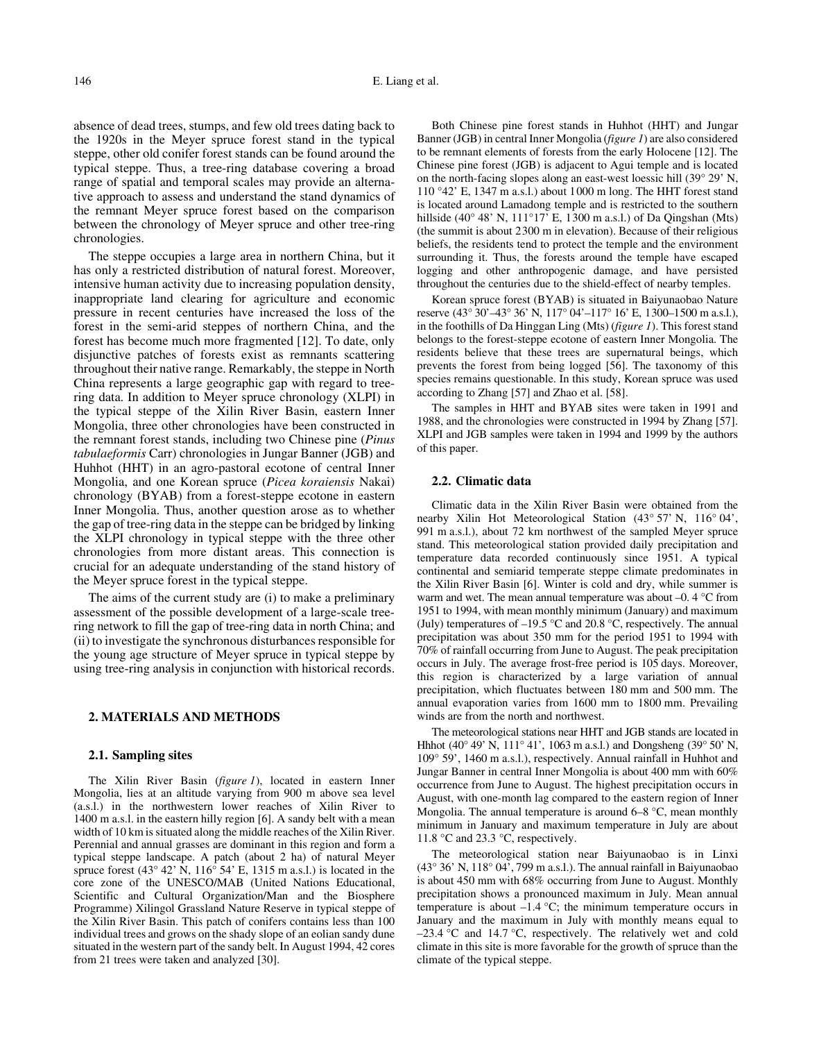absence of dead trees, stumps, and few old trees dating back to the 1920s in the Meyer spruce forest stand in the typical steppe, other old conifer forest stands can be found around the typical steppe. Thus, a tree-ring database covering a broad range of spatial and temporal scales may provide an alternative approach to assess and understand the stand dynamics of the remnant Meyer spruce forest based on the comparison between the chronology of Meyer spruce and other tree-ring chronologies.

The steppe occupies a large area in northern China, but it has only a restricted distribution of natural forest. Moreover, intensive human activity due to increasing population density, inappropriate land clearing for agriculture and economic pressure in recent centuries have increased the loss of the forest in the semi-arid steppes of northern China, and the forest has become much more fragmented [12]. To date, only disjunctive patches of forests exist as remnants scattering throughout their native range. Remarkably, the steppe in North China represents a large geographic gap with regard to treering data. In addition to Meyer spruce chronology (XLPI) in the typical steppe of the Xilin River Basin, eastern Inner Mongolia, three other chronologies have been constructed in the remnant forest stands, including two Chinese pine (*Pinus tabulaeformis* Carr) chronologies in Jungar Banner (JGB) and Huhhot (HHT) in an agro-pastoral ecotone of central Inner Mongolia, and one Korean spruce (*Picea koraiensis* Nakai) chronology (BYAB) from a forest-steppe ecotone in eastern Inner Mongolia. Thus, another question arose as to whether the gap of tree-ring data in the steppe can be bridged by linking the XLPI chronology in typical steppe with the three other chronologies from more distant areas. This connection is crucial for an adequate understanding of the stand history of the Meyer spruce forest in the typical steppe.

The aims of the current study are (i) to make a preliminary assessment of the possible development of a large-scale treering network to fill the gap of tree-ring data in north China; and (ii) to investigate the synchronous disturbances responsible for the young age structure of Meyer spruce in typical steppe by using tree-ring analysis in conjunction with historical records.

## **2. MATERIALS AND METHODS**

#### **2.1. Sampling sites**

The Xilin River Basin (*figure 1*), located in eastern Inner Mongolia, lies at an altitude varying from 900 m above sea level (a.s.l.) in the northwestern lower reaches of Xilin River to 1400 m a.s.l. in the eastern hilly region [6]. A sandy belt with a mean width of 10 km is situated along the middle reaches of the Xilin River. Perennial and annual grasses are dominant in this region and form a typical steppe landscape. A patch (about 2 ha) of natural Meyer spruce forest (43° 42' N, 116° 54' E, 1315 m a.s.l.) is located in the core zone of the UNESCO/MAB (United Nations Educational, Scientific and Cultural Organization/Man and the Biosphere Programme) Xilingol Grassland Nature Reserve in typical steppe of the Xilin River Basin. This patch of conifers contains less than 100 individual trees and grows on the shady slope of an eolian sandy dune situated in the western part of the sandy belt. In August 1994, 42 cores from 21 trees were taken and analyzed [30].

Both Chinese pine forest stands in Huhhot (HHT) and Jungar Banner (JGB) in central Inner Mongolia (*figure 1*) are also considered to be remnant elements of forests from the early Holocene [12]. The Chinese pine forest (JGB) is adjacent to Agui temple and is located on the north-facing slopes along an east-west loessic hill (39° 29' N, 110 °42' E, 1347 m a.s.l.) about 1000 m long. The HHT forest stand is located around Lamadong temple and is restricted to the southern hillside (40° 48' N, 111°17' E, 1300 m a.s.l.) of Da Qingshan (Mts) (the summit is about 2300 m in elevation). Because of their religious beliefs, the residents tend to protect the temple and the environment surrounding it. Thus, the forests around the temple have escaped logging and other anthropogenic damage, and have persisted throughout the centuries due to the shield-effect of nearby temples.

Korean spruce forest (BYAB) is situated in Baiyunaobao Nature reserve (43° 30'–43° 36' N, 117° 04'–117° 16' E, 1300–1500 m a.s.l.), in the foothills of Da Hinggan Ling (Mts) (*figure 1*). This forest stand belongs to the forest-steppe ecotone of eastern Inner Mongolia. The residents believe that these trees are supernatural beings, which prevents the forest from being logged [56]. The taxonomy of this species remains questionable. In this study, Korean spruce was used according to Zhang [57] and Zhao et al. [58].

The samples in HHT and BYAB sites were taken in 1991 and 1988, and the chronologies were constructed in 1994 by Zhang [57]. XLPI and JGB samples were taken in 1994 and 1999 by the authors of this paper.

## **2.2. Climatic data**

Climatic data in the Xilin River Basin were obtained from the nearby Xilin Hot Meteorological Station (43° 57' N, 116° 04', 991 m a.s.l.), about 72 km northwest of the sampled Meyer spruce stand. This meteorological station provided daily precipitation and temperature data recorded continuously since 1951. A typical continental and semiarid temperate steppe climate predominates in the Xilin River Basin [6]. Winter is cold and dry, while summer is warm and wet. The mean annual temperature was about –0. 4 °C from 1951 to 1994, with mean monthly minimum (January) and maximum (July) temperatures of  $-19.5$  °C and 20.8 °C, respectively. The annual precipitation was about 350 mm for the period 1951 to 1994 with 70% of rainfall occurring from June to August. The peak precipitation occurs in July. The average frost-free period is 105 days. Moreover, this region is characterized by a large variation of annual precipitation, which fluctuates between 180 mm and 500 mm. The annual evaporation varies from 1600 mm to 1800 mm. Prevailing winds are from the north and northwest.

The meteorological stations near HHT and JGB stands are located in Hhhot (40° 49' N, 111° 41', 1063 m a.s.l.) and Dongsheng (39° 50' N, 109° 59', 1460 m a.s.l.), respectively. Annual rainfall in Huhhot and Jungar Banner in central Inner Mongolia is about 400 mm with 60% occurrence from June to August. The highest precipitation occurs in August, with one-month lag compared to the eastern region of Inner Mongolia. The annual temperature is around  $6-8$  °C, mean monthly minimum in January and maximum temperature in July are about 11.8 °C and 23.3 °C, respectively.

The meteorological station near Baiyunaobao is in Linxi  $(43° 36' N, 118° 04', 799 m a.s.l.)$ . The annual rainfall in Baiyunaobao is about 450 mm with 68% occurring from June to August. Monthly precipitation shows a pronounced maximum in July. Mean annual temperature is about  $-1.4$  °C; the minimum temperature occurs in January and the maximum in July with monthly means equal to –23.4 °C and 14.7 °C, respectively. The relatively wet and cold climate in this site is more favorable for the growth of spruce than the climate of the typical steppe.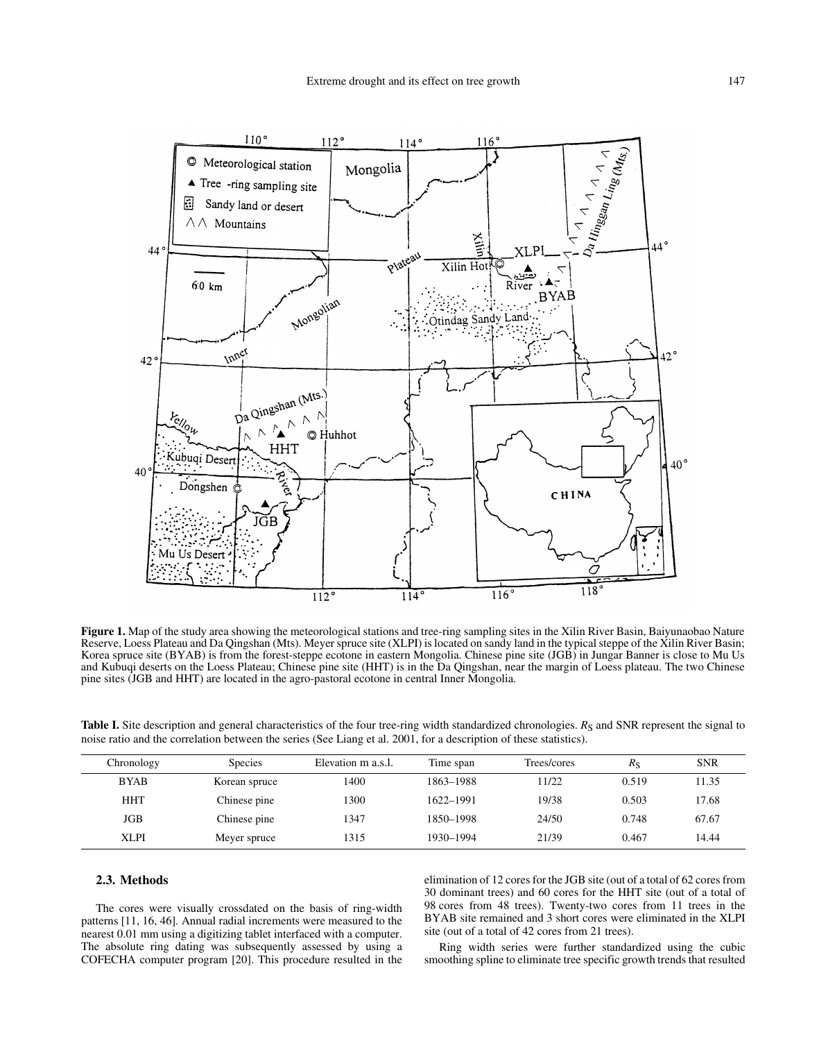

**Figure 1.** Map of the study area showing the meteorological stations and tree-ring sampling sites in the Xilin River Basin, Baiyunaobao Nature Reserve, Loess Plateau and Da Qingshan (Mts). Meyer spruce site (XLPI) is located on sandy land in the typical steppe of the Xilin River Basin; Korea spruce site (BYAB) is from the forest-steppe ecotone in eastern Mongolia. Chinese pine site (JGB) in Jungar Banner is close to Mu Us and Kubuqi deserts on the Loess Plateau; Chinese pine site (HHT) is in the Da Qingshan, near the margin of Loess plateau. The two Chinese pine sites (JGB and HHT) are located in the agro-pastoral ecotone in central Inner Mongolia.

**Table I.** Site description and general characteristics of the four tree-ring width standardized chronologies. *R*<sub>S</sub> and SNR represent the signal to noise ratio and the correlation between the series (See Liang et al. 2001, for a description of these statistics).

| Chronology  | <b>Species</b> | Elevation m a.s.l. | Time span | Trees/cores | $R_{\rm S}$ | <b>SNR</b> |
|-------------|----------------|--------------------|-----------|-------------|-------------|------------|
| <b>BYAB</b> | Korean spruce  | 1400               | 1863-1988 | 11/22       | 0.519       | 11.35      |
| <b>HHT</b>  | Chinese pine   | 1300               | 1622-1991 | 19/38       | 0.503       | 17.68      |
| JGB         | Chinese pine   | 1347               | 1850-1998 | 24/50       | 0.748       | 67.67      |
| <b>XLPI</b> | Meyer spruce   | 1315               | 1930–1994 | 21/39       | 0.467       | 14.44      |

## **2.3. Methods**

The cores were visually crossdated on the basis of ring-width patterns [11, 16, 46]. Annual radial increments were measured to the nearest 0.01 mm using a digitizing tablet interfaced with a computer. The absolute ring dating was subsequently assessed by using a COFECHA computer program [20]. This procedure resulted in the elimination of 12 cores for the JGB site (out of a total of 62 cores from 30 dominant trees) and 60 cores for the HHT site (out of a total of 98 cores from 48 trees). Twenty-two cores from 11 trees in the BYAB site remained and 3 short cores were eliminated in the XLPI site (out of a total of 42 cores from 21 trees).

Ring width series were further standardized using the cubic smoothing spline to eliminate tree specific growth trends that resulted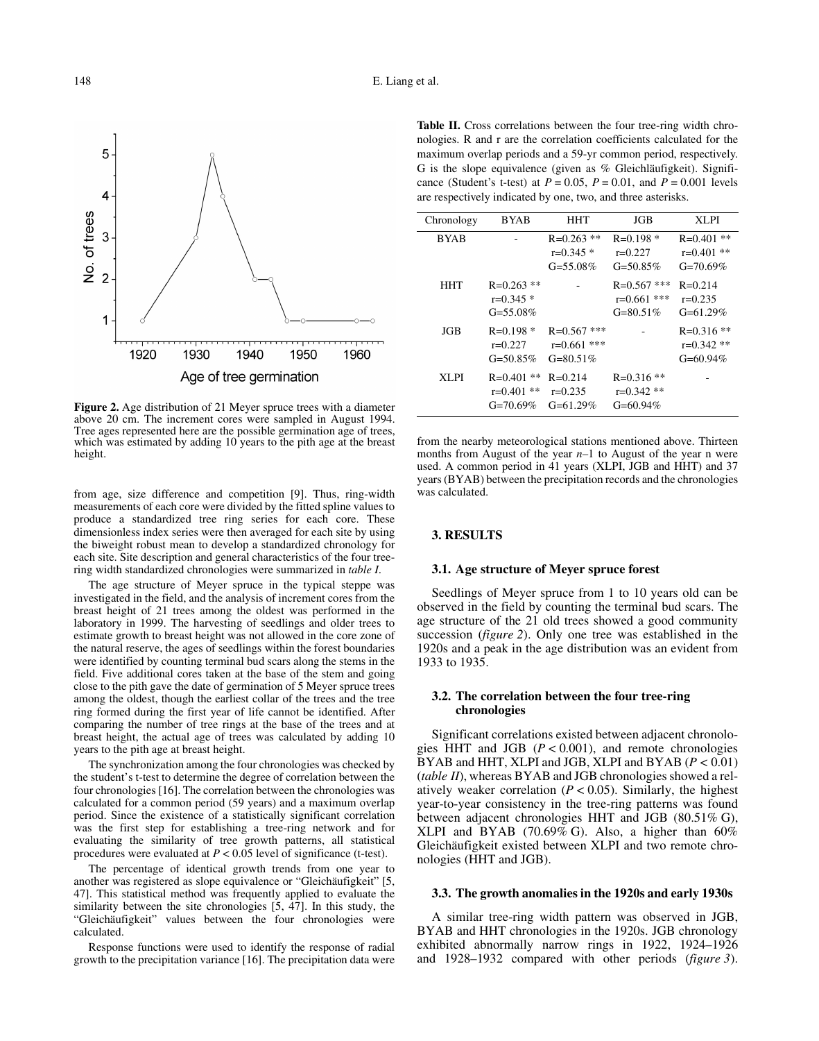

**Figure 2.** Age distribution of 21 Meyer spruce trees with a diameter above 20 cm. The increment cores were sampled in August 1994. Tree ages represented here are the possible germination age of trees, which was estimated by adding 10 years to the pith age at the breast height.

from age, size difference and competition [9]. Thus, ring-width measurements of each core were divided by the fitted spline values to produce a standardized tree ring series for each core. These dimensionless index series were then averaged for each site by using the biweight robust mean to develop a standardized chronology for each site. Site description and general characteristics of the four treering width standardized chronologies were summarized in *table I*.

The age structure of Meyer spruce in the typical steppe was investigated in the field, and the analysis of increment cores from the breast height of 21 trees among the oldest was performed in the laboratory in 1999. The harvesting of seedlings and older trees to estimate growth to breast height was not allowed in the core zone of the natural reserve, the ages of seedlings within the forest boundaries were identified by counting terminal bud scars along the stems in the field. Five additional cores taken at the base of the stem and going close to the pith gave the date of germination of 5 Meyer spruce trees among the oldest, though the earliest collar of the trees and the tree ring formed during the first year of life cannot be identified. After comparing the number of tree rings at the base of the trees and at breast height, the actual age of trees was calculated by adding 10 years to the pith age at breast height.

The synchronization among the four chronologies was checked by the student's t-test to determine the degree of correlation between the four chronologies [16]. The correlation between the chronologies was calculated for a common period (59 years) and a maximum overlap period. Since the existence of a statistically significant correlation was the first step for establishing a tree-ring network and for evaluating the similarity of tree growth patterns, all statistical procedures were evaluated at *P* < 0.05 level of significance (t-test).

The percentage of identical growth trends from one year to another was registered as slope equivalence or "Gleichäufigkeit" [5, 47]. This statistical method was frequently applied to evaluate the similarity between the site chronologies  $[5, 4\overline{7}]$ . In this study, the "Gleichäufigkeit" values between the four chronologies were calculated.

Response functions were used to identify the response of radial growth to the precipitation variance [16]. The precipitation data were

**Table II.** Cross correlations between the four tree-ring width chronologies. R and r are the correlation coefficients calculated for the maximum overlap periods and a 59-yr common period, respectively. G is the slope equivalence (given as  $%$  Gleichläufigkeit). Significance (Student's t-test) at  $P = 0.05$ ,  $P = 0.01$ , and  $P = 0.001$  levels are respectively indicated by one, two, and three asterisks.

| Chronology  | <b>BYAB</b>                                   | HHT                                             | JGB                                             | XLPI                                        |
|-------------|-----------------------------------------------|-------------------------------------------------|-------------------------------------------------|---------------------------------------------|
| <b>BYAB</b> |                                               | $R = 0.263$ **<br>$r=0.345*$<br>$G = 55.08\%$   | $R=0.198*$<br>$r=0.227$<br>$G = 50.85\%$        | $R=0.401$ **<br>$r=0.401$ **<br>$G=70.69\%$ |
| <b>HHT</b>  | $R = 0.263$ **<br>$r=0.345*$<br>$G = 55.08\%$ |                                                 | $R = 0.567$ ***<br>$r=0.661$ ***<br>$G=80.51\%$ | $R = 0.214$<br>$r=0.235$<br>$G=61.29\%$     |
| JGB         | $R=0.198*$<br>$r=0.227$<br>$G = 50.85\%$      | $R = 0.567$ ***<br>$r=0.661$ ***<br>$G=80.51\%$ |                                                 | $R = 0.316$ **<br>$r=0.342**$<br>$G=60.94%$ |
| XLPI        | $R=0.401$ **<br>$r=0.401$ **<br>$G=70.69\%$   | $R = 0.214$<br>$r=0.235$<br>$G=61.29\%$         | $R = 0.316$ **<br>$r=0.342**$<br>$G=60.94\%$    |                                             |

from the nearby meteorological stations mentioned above. Thirteen months from August of the year *n*–1 to August of the year n were used. A common period in 41 years (XLPI, JGB and HHT) and 37 years (BYAB) between the precipitation records and the chronologies was calculated.

## **3. RESULTS**

## **3.1. Age structure of Meyer spruce forest**

Seedlings of Meyer spruce from 1 to 10 years old can be observed in the field by counting the terminal bud scars. The age structure of the 21 old trees showed a good community succession (*figure 2*). Only one tree was established in the 1920s and a peak in the age distribution was an evident from 1933 to 1935.

## **3.2. The correlation between the four tree-ring chronologies**

Significant correlations existed between adjacent chronologies HHT and JGB  $(P < 0.001)$ , and remote chronologies BYAB and HHT, XLPI and JGB, XLPI and BYAB (*P* < 0.01) (*table II*), whereas BYAB and JGB chronologies showed a relatively weaker correlation  $(P < 0.05)$ . Similarly, the highest year-to-year consistency in the tree-ring patterns was found between adjacent chronologies HHT and JGB (80.51% G), XLPI and BYAB (70.69% G). Also, a higher than 60% Gleichäufigkeit existed between XLPI and two remote chronologies (HHT and JGB).

## **3.3. The growth anomalies in the 1920s and early 1930s**

A similar tree-ring width pattern was observed in JGB, BYAB and HHT chronologies in the 1920s. JGB chronology exhibited abnormally narrow rings in 1922, 1924–1926 and 1928–1932 compared with other periods (*figure 3*).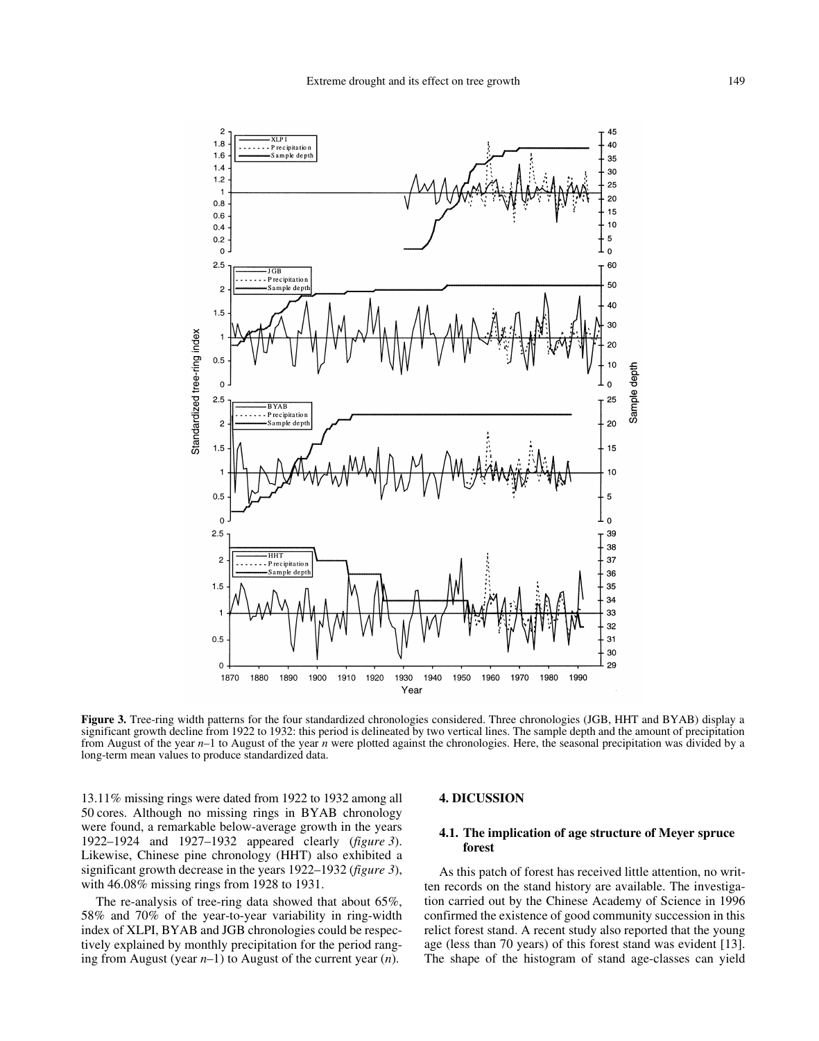

**Figure 3.** Tree-ring width patterns for the four standardized chronologies considered. Three chronologies (JGB, HHT and BYAB) display a significant growth decline from 1922 to 1932: this period is delineated by two vertical lines. The sample depth and the amount of precipitation from August of the year *n*–1 to August of the year *n* were plotted against the chronologies. Here, the seasonal precipitation was divided by a long-term mean values to produce standardized data.

13.11% missing rings were dated from 1922 to 1932 among all 50 cores. Although no missing rings in BYAB chronology were found, a remarkable below-average growth in the years 1922–1924 and 1927–1932 appeared clearly (*figure 3*). Likewise, Chinese pine chronology (HHT) also exhibited a significant growth decrease in the years 1922–1932 (*figure 3*), with 46.08% missing rings from 1928 to 1931.

The re-analysis of tree-ring data showed that about 65%, 58% and 70% of the year-to-year variability in ring-width index of XLPI, BYAB and JGB chronologies could be respectively explained by monthly precipitation for the period ranging from August (year *n*–1) to August of the current year (*n*).

## **4. DICUSSION**

# **4.1. The implication of age structure of Meyer spruce forest**

As this patch of forest has received little attention, no written records on the stand history are available. The investigation carried out by the Chinese Academy of Science in 1996 confirmed the existence of good community succession in this relict forest stand. A recent study also reported that the young age (less than 70 years) of this forest stand was evident [13]. The shape of the histogram of stand age-classes can yield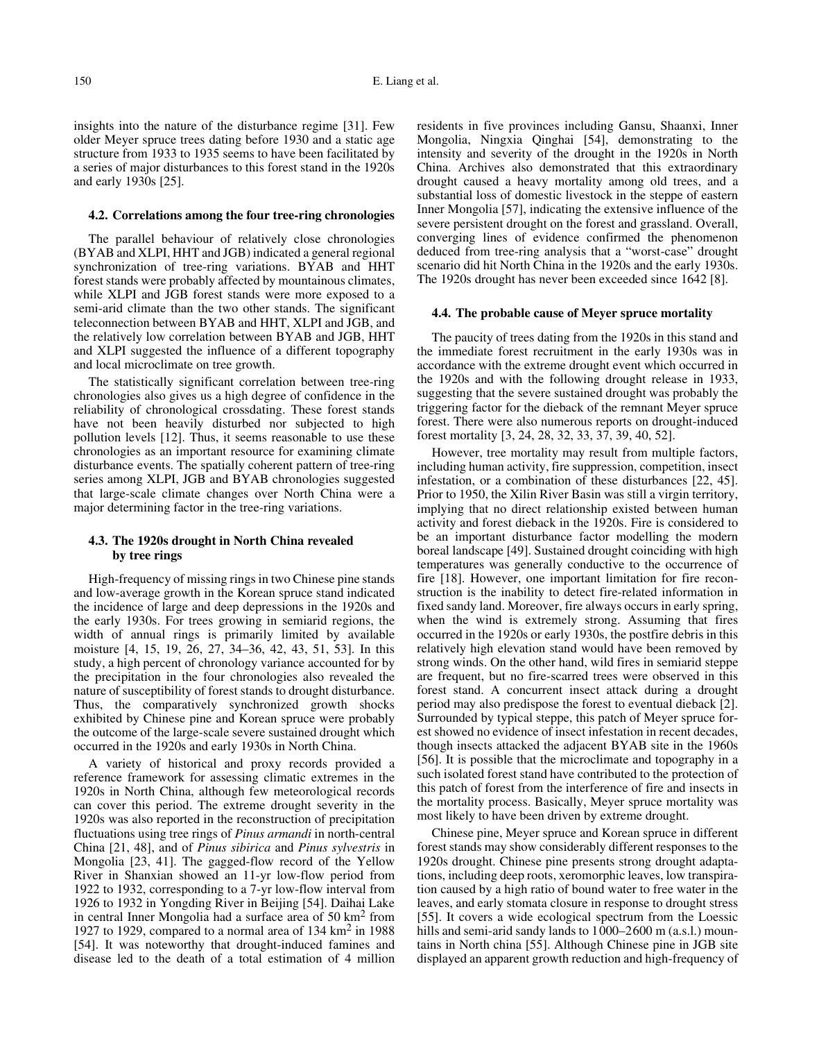insights into the nature of the disturbance regime [31]. Few older Meyer spruce trees dating before 1930 and a static age structure from 1933 to 1935 seems to have been facilitated by a series of major disturbances to this forest stand in the 1920s and early 1930s [25].

#### **4.2. Correlations among the four tree-ring chronologies**

The parallel behaviour of relatively close chronologies (BYAB and XLPI, HHT and JGB) indicated a general regional synchronization of tree-ring variations. BYAB and HHT forest stands were probably affected by mountainous climates, while XLPI and JGB forest stands were more exposed to a semi-arid climate than the two other stands. The significant teleconnection between BYAB and HHT, XLPI and JGB, and the relatively low correlation between BYAB and JGB, HHT and XLPI suggested the influence of a different topography and local microclimate on tree growth.

The statistically significant correlation between tree-ring chronologies also gives us a high degree of confidence in the reliability of chronological crossdating. These forest stands have not been heavily disturbed nor subjected to high pollution levels [12]. Thus, it seems reasonable to use these chronologies as an important resource for examining climate disturbance events. The spatially coherent pattern of tree-ring series among XLPI, JGB and BYAB chronologies suggested that large-scale climate changes over North China were a major determining factor in the tree-ring variations.

## **4.3. The 1920s drought in North China revealed by tree rings**

High-frequency of missing rings in two Chinese pine stands and low-average growth in the Korean spruce stand indicated the incidence of large and deep depressions in the 1920s and the early 1930s. For trees growing in semiarid regions, the width of annual rings is primarily limited by available moisture [4, 15, 19, 26, 27, 34–36, 42, 43, 51, 53]. In this study, a high percent of chronology variance accounted for by the precipitation in the four chronologies also revealed the nature of susceptibility of forest stands to drought disturbance. Thus, the comparatively synchronized growth shocks exhibited by Chinese pine and Korean spruce were probably the outcome of the large-scale severe sustained drought which occurred in the 1920s and early 1930s in North China.

A variety of historical and proxy records provided a reference framework for assessing climatic extremes in the 1920s in North China, although few meteorological records can cover this period. The extreme drought severity in the 1920s was also reported in the reconstruction of precipitation fluctuations using tree rings of *Pinus armandi* in north-central China [21, 48], and of *Pinus sibirica* and *Pinus sylvestris* in Mongolia [23, 41]. The gagged-flow record of the Yellow River in Shanxian showed an 11-yr low-flow period from 1922 to 1932, corresponding to a 7-yr low-flow interval from 1926 to 1932 in Yongding River in Beijing [54]. Daihai Lake in central Inner Mongolia had a surface area of 50 km2 from 1927 to 1929, compared to a normal area of 134 km2 in 1988 [54]. It was noteworthy that drought-induced famines and disease led to the death of a total estimation of 4 million

residents in five provinces including Gansu, Shaanxi, Inner Mongolia, Ningxia Qinghai [54], demonstrating to the intensity and severity of the drought in the 1920s in North China. Archives also demonstrated that this extraordinary drought caused a heavy mortality among old trees, and a substantial loss of domestic livestock in the steppe of eastern Inner Mongolia [57], indicating the extensive influence of the severe persistent drought on the forest and grassland. Overall, converging lines of evidence confirmed the phenomenon deduced from tree-ring analysis that a "worst-case" drought scenario did hit North China in the 1920s and the early 1930s. The 1920s drought has never been exceeded since 1642 [8].

#### **4.4. The probable cause of Meyer spruce mortality**

The paucity of trees dating from the 1920s in this stand and the immediate forest recruitment in the early 1930s was in accordance with the extreme drought event which occurred in the 1920s and with the following drought release in 1933, suggesting that the severe sustained drought was probably the triggering factor for the dieback of the remnant Meyer spruce forest. There were also numerous reports on drought-induced forest mortality [3, 24, 28, 32, 33, 37, 39, 40, 52].

However, tree mortality may result from multiple factors, including human activity, fire suppression, competition, insect infestation, or a combination of these disturbances [22, 45]. Prior to 1950, the Xilin River Basin was still a virgin territory, implying that no direct relationship existed between human activity and forest dieback in the 1920s. Fire is considered to be an important disturbance factor modelling the modern boreal landscape [49]. Sustained drought coinciding with high temperatures was generally conductive to the occurrence of fire [18]. However, one important limitation for fire reconstruction is the inability to detect fire-related information in fixed sandy land. Moreover, fire always occurs in early spring, when the wind is extremely strong. Assuming that fires occurred in the 1920s or early 1930s, the postfire debris in this relatively high elevation stand would have been removed by strong winds. On the other hand, wild fires in semiarid steppe are frequent, but no fire-scarred trees were observed in this forest stand. A concurrent insect attack during a drought period may also predispose the forest to eventual dieback [2]. Surrounded by typical steppe, this patch of Meyer spruce forest showed no evidence of insect infestation in recent decades, though insects attacked the adjacent BYAB site in the 1960s [56]. It is possible that the microclimate and topography in a such isolated forest stand have contributed to the protection of this patch of forest from the interference of fire and insects in the mortality process. Basically, Meyer spruce mortality was most likely to have been driven by extreme drought.

Chinese pine, Meyer spruce and Korean spruce in different forest stands may show considerably different responses to the 1920s drought. Chinese pine presents strong drought adaptations, including deep roots, xeromorphic leaves, low transpiration caused by a high ratio of bound water to free water in the leaves, and early stomata closure in response to drought stress [55]. It covers a wide ecological spectrum from the Loessic hills and semi-arid sandy lands to 1000–2600 m (a.s.l.) mountains in North china [55]. Although Chinese pine in JGB site displayed an apparent growth reduction and high-frequency of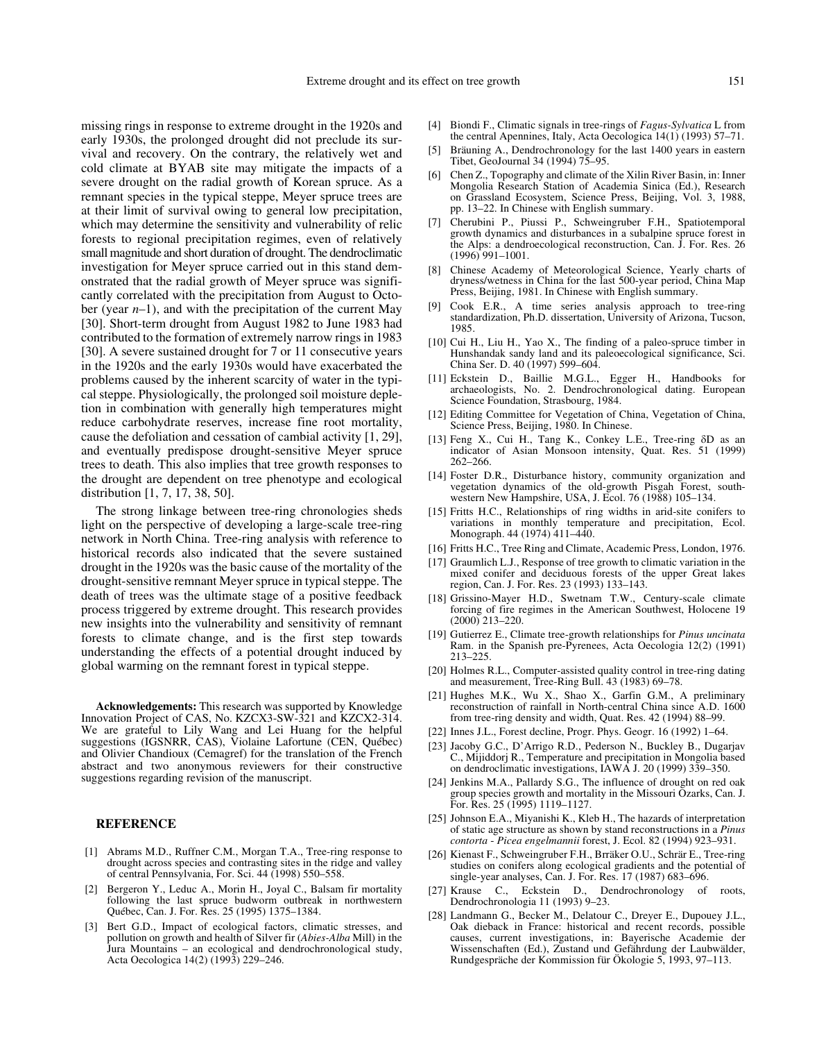missing rings in response to extreme drought in the 1920s and early 1930s, the prolonged drought did not preclude its survival and recovery. On the contrary, the relatively wet and cold climate at BYAB site may mitigate the impacts of a severe drought on the radial growth of Korean spruce. As a remnant species in the typical steppe, Meyer spruce trees are at their limit of survival owing to general low precipitation, which may determine the sensitivity and vulnerability of relic forests to regional precipitation regimes, even of relatively small magnitude and short duration of drought. The dendroclimatic investigation for Meyer spruce carried out in this stand demonstrated that the radial growth of Meyer spruce was significantly correlated with the precipitation from August to October (year *n*–1), and with the precipitation of the current May [30]. Short-term drought from August 1982 to June 1983 had contributed to the formation of extremely narrow rings in 1983 [30]. A severe sustained drought for 7 or 11 consecutive years in the 1920s and the early 1930s would have exacerbated the problems caused by the inherent scarcity of water in the typical steppe. Physiologically, the prolonged soil moisture depletion in combination with generally high temperatures might reduce carbohydrate reserves, increase fine root mortality, cause the defoliation and cessation of cambial activity [1, 29], and eventually predispose drought-sensitive Meyer spruce trees to death. This also implies that tree growth responses to the drought are dependent on tree phenotype and ecological distribution [1, 7, 17, 38, 50].

The strong linkage between tree-ring chronologies sheds light on the perspective of developing a large-scale tree-ring network in North China. Tree-ring analysis with reference to historical records also indicated that the severe sustained drought in the 1920s was the basic cause of the mortality of the drought-sensitive remnant Meyer spruce in typical steppe. The death of trees was the ultimate stage of a positive feedback process triggered by extreme drought. This research provides new insights into the vulnerability and sensitivity of remnant forests to climate change, and is the first step towards understanding the effects of a potential drought induced by global warming on the remnant forest in typical steppe.

**Acknowledgements:** This research was supported by Knowledge Innovation Project of CAS, No. KZCX3-SW-321 and KZCX2-314. We are grateful to Lily Wang and Lei Huang for the helpful suggestions (IGSNRR, CAS), Violaine Lafortune (CEN, Québec) and Olivier Chandioux (Cemagref) for the translation of the French abstract and two anonymous reviewers for their constructive suggestions regarding revision of the manuscript.

#### **REFERENCE**

- [1] Abrams M.D., Ruffner C.M., Morgan T.A., Tree-ring response to drought across species and contrasting sites in the ridge and valley of central Pennsylvania, For. Sci. 44 (1998) 550–558.
- [2] Bergeron Y., Leduc A., Morin H., Joyal C., Balsam fir mortality following the last spruce budworm outbreak in northwestern Québec, Can. J. For. Res. 25 (1995) 1375–1384.
- [3] Bert G.D., Impact of ecological factors, climatic stresses, and pollution on growth and health of Silver fir (*Abies-Alba* Mill) in the Jura Mountains – an ecological and dendrochronological study, Acta Oecologica 14(2) (1993) 229–246.
- [4] Biondi F., Climatic signals in tree-rings of *Fagus-Sylvatica* L from the central Apennines, Italy, Acta Oecologica 14(1) (1993) 57–71.
- [5] Bräuning A., Dendrochronology for the last 1400 years in eastern Tibet, GeoJournal 34 (1994) 75–95.
- [6] Chen Z., Topography and climate of the Xilin River Basin, in: Inner Mongolia Research Station of Academia Sinica (Ed.), Research on Grassland Ecosystem, Science Press, Beijing, Vol. 3, 1988, pp. 13–22. In Chinese with English summary.
- [7] Cherubini P., Piussi P., Schweingruber F.H., Spatiotemporal growth dynamics and disturbances in a subalpine spruce forest in the Alps: a dendroecological reconstruction, Can. J. For. Res. 26 (1996) 991–1001.
- Chinese Academy of Meteorological Science, Yearly charts of dryness/wetness in China for the last 500-year period, China Map Press, Beijing, 1981. In Chinese with English summary.
- [9] Cook E.R., A time series analysis approach to tree-ring standardization, Ph.D. dissertation, University of Arizona, Tucson, 1985.
- [10] Cui H., Liu H., Yao X., The finding of a paleo-spruce timber in Hunshandak sandy land and its paleoecological significance, Sci. China Ser. D. 40 (1997) 599–604.
- [11] Eckstein D., Baillie M.G.L., Egger H., Handbooks for archaeologists, No. 2. Dendrochronological dating. European Science Foundation, Strasbourg, 1984.
- [12] Editing Committee for Vegetation of China, Vegetation of China, Science Press, Beijing, 1980. In Chinese.
- [13] Feng X., Cui H., Tang K., Conkey L.E., Tree-ring  $\delta D$  as an indicator of Asian Monsoon intensity, Quat. Res. 51 (1999) 262–266.
- [14] Foster D.R., Disturbance history, community organization and vegetation dynamics of the old-growth Pisgah Forest, southwestern New Hampshire, USA, J. Ecol. 76 (1988) 105–134.
- [15] Fritts H.C., Relationships of ring widths in arid-site conifers to variations in monthly temperature and precipitation, Ecol. Monograph. 44 (1974) 411–440.
- [16] Fritts H.C., Tree Ring and Climate, Academic Press, London, 1976.
- [17] Graumlich L.J., Response of tree growth to climatic variation in the mixed conifer and deciduous forests of the upper Great lakes region, Can. J. For. Res. 23 (1993) 133–143.
- [18] Grissino-Mayer H.D., Swetnam T.W., Century-scale climate forcing of fire regimes in the American Southwest, Holocene 19  $(2000)$  213–220.
- [19] Gutierrez E., Climate tree-growth relationships for *Pinus uncinata* Ram. in the Spanish pre-Pyrenees, Acta Oecologia 12(2) (1991) 213–225.
- [20] Holmes R.L., Computer-assisted quality control in tree-ring dating and measurement, Tree-Ring Bull. 43 (1983) 69–78.
- [21] Hughes M.K., Wu X., Shao X., Garfin G.M., A preliminary reconstruction of rainfall in North-central China since A.D. 1600 from tree-ring density and width, Quat. Res. 42 (1994) 88–99.
- [22] Innes J.L., Forest decline, Progr. Phys. Geogr. 16 (1992) 1–64.
- [23] Jacoby G.C., D'Arrigo R.D., Pederson N., Buckley B., Dugarjav C., Mijiddorj R., Temperature and precipitation in Mongolia based on dendroclimatic investigations, IAWA J. 20 (1999) 339–350.
- [24] Jenkins M.A., Pallardy S.G., The influence of drought on red oak group species growth and mortality in the Missouri Ozarks, Can. J. For. Res. 25 (1995) 1119–1127.
- [25] Johnson E.A., Miyanishi K., Kleb H., The hazards of interpretation of static age structure as shown by stand reconstructions in a *Pinus contorta* - *Picea engelmannii* forest, J. Ecol. 82 (1994) 923–931.
- [26] Kienast F., Schweingruber F.H., Brräker O.U., Schrär E., Tree-ring studies on conifers along ecological gradients and the potential of single-year analyses, Can. J. For. Res. 17 (1987) 683–696.
- [27] Krause C., Eckstein D., Dendrochronology of roots, Dendrochronologia 11 (1993) 9–23.
- [28] Landmann G., Becker M., Delatour C., Dreyer E., Dupouey J.L., Oak dieback in France: historical and recent records, possible causes, current investigations, in: Bayerische Academie der Wissenschaften (Ed.), Zustand und Gefährdung der Laubwälder, Rundgespräche der Kommission für Ökologie 5, 1993, 97–113.